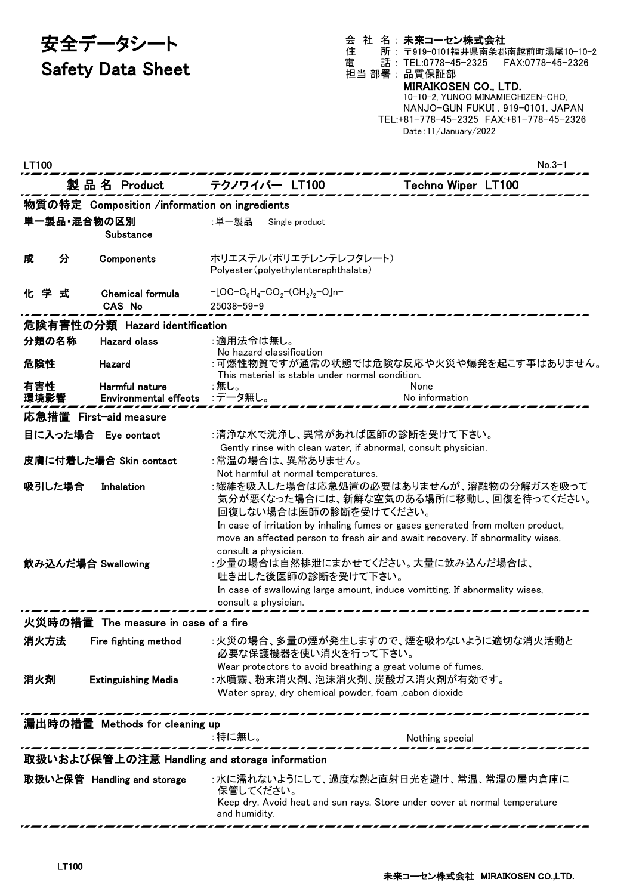# 安全データシート Safety Data Sheet

会 社 名 : 未来コーセン株式会社 住 所 : 〒919-0101福井県南条郡南越前町湯尾10-10-2 電 話 : TEL:0778-45-2325 FAX:0778-45-2326 担当 部署 : 品質保証部

## MIRAIKOSEN CO., LTD.

10-10-2, YUNOO MINAMIECHIZEN-CHO, NANJO-GUN FUKUI . 919-0101. JAPAN TEL:+81-778-45-2325 FAX:+81-778-45-2326 Date:11/January/2022

| LT100                                         |                                               |                                                                                                                           | $No.3-1$                                                                                                                                                          |  |  |
|-----------------------------------------------|-----------------------------------------------|---------------------------------------------------------------------------------------------------------------------------|-------------------------------------------------------------------------------------------------------------------------------------------------------------------|--|--|
|                                               | 製 品 名 Product                                 | テクノワイパー LT100                                                                                                             | Techno Wiper LT100                                                                                                                                                |  |  |
|                                               | 物質の特定 Composition /information on ingredients |                                                                                                                           |                                                                                                                                                                   |  |  |
| 単一製品・混合物の区別<br>Substance                      |                                               | :単一製品<br>Single product                                                                                                   |                                                                                                                                                                   |  |  |
| 分<br>成                                        | Components                                    | ポリエステル(ポリエチレンテレフタレート)<br>Polyester (polyethylenterephthalate)                                                             |                                                                                                                                                                   |  |  |
| 化学式                                           | <b>Chemical formula</b><br><b>CAS No</b>      | $-[OC-C_6H_4-CO_2-(CH_2)_2-O]n-$<br>$25038 - 59 - 9$                                                                      |                                                                                                                                                                   |  |  |
| 危険有害性の分類 Hazard identification                |                                               |                                                                                                                           |                                                                                                                                                                   |  |  |
| 分類の名称                                         | <b>Hazard class</b>                           | :適用法令は無し。                                                                                                                 |                                                                                                                                                                   |  |  |
| 危険性                                           | Hazard                                        | No hazard classification<br>This material is stable under normal condition.                                               | :可燃性物質ですが通常の状態では危険な反応や火災や爆発を起こす事はありません。                                                                                                                           |  |  |
| 有害性<br>環境影響                                   | Harmful nature<br>Environmental effects       | :無し。<br>:データ無し。                                                                                                           | None<br>No information                                                                                                                                            |  |  |
|                                               | 応急措置 First-aid measure                        |                                                                                                                           |                                                                                                                                                                   |  |  |
|                                               | 目に入った場合 Eye contact                           | :清浄な水で洗浄し、異常があれば医師の診断を受けて下さい。                                                                                             |                                                                                                                                                                   |  |  |
|                                               | 皮膚に付着した場合 Skin contact                        | Gently rinse with clean water, if abnormal, consult physician.<br>:常温の場合は、異常ありません。<br>Not harmful at normal temperatures. |                                                                                                                                                                   |  |  |
| 吸引した場合                                        | Inhalation                                    | 回復しない場合は医師の診断を受けてください。                                                                                                    | :繊維を吸入した場合は応急処置の必要はありませんが、溶融物の分解ガスを吸って<br>気分が悪くなった場合には、新鮮な空気のある場所に移動し、回復を待ってください。                                                                                 |  |  |
| 飲み込んだ場合 Swallowing                            |                                               | consult a physician.<br>:少量の場合は自然排泄にまかせてください。大量に飲み込んだ場合は、<br>吐き出した後医師の診断を受けて下さい。                                          | In case of irritation by inhaling fumes or gases generated from molten product,<br>move an affected person to fresh air and await recovery. If abnormality wises, |  |  |
|                                               |                                               | consult a physician.                                                                                                      | In case of swallowing large amount, induce vomitting. If abnormality wises,                                                                                       |  |  |
|                                               | 火災時の措置 The measure in case of a fire          |                                                                                                                           |                                                                                                                                                                   |  |  |
| 消火方法                                          | Fire fighting method                          | 必要な保護機器を使い消火を行って下さい。                                                                                                      | :火災の場合、多量の煙が発生しますので、煙を吸わないように適切な消火活動と                                                                                                                             |  |  |
| 消火剤                                           | <b>Extinguishing Media</b>                    | Wear protectors to avoid breathing a great volume of fumes.<br>:水噴霧、粉末消火剤、泡沫消火剤、炭酸ガス消火剤が有効です。                             |                                                                                                                                                                   |  |  |
|                                               |                                               | Water spray, dry chemical powder, foam , cabon dioxide                                                                    |                                                                                                                                                                   |  |  |
|                                               | 漏出時の措置 Methods for cleaning up                |                                                                                                                           |                                                                                                                                                                   |  |  |
|                                               |                                               | :特に無し。                                                                                                                    | Nothing special                                                                                                                                                   |  |  |
| 取扱いおよび保管上の注意 Handling and storage information |                                               |                                                                                                                           |                                                                                                                                                                   |  |  |
|                                               | 取扱いと保管 Handling and storage                   | 保管してください。<br>and humidity.                                                                                                | :水に濡れないようにして、過度な熱と直射日光を避け、常温、常湿の屋内倉庫に<br>Keep dry. Avoid heat and sun rays. Store under cover at normal temperature                                               |  |  |
|                                               |                                               |                                                                                                                           |                                                                                                                                                                   |  |  |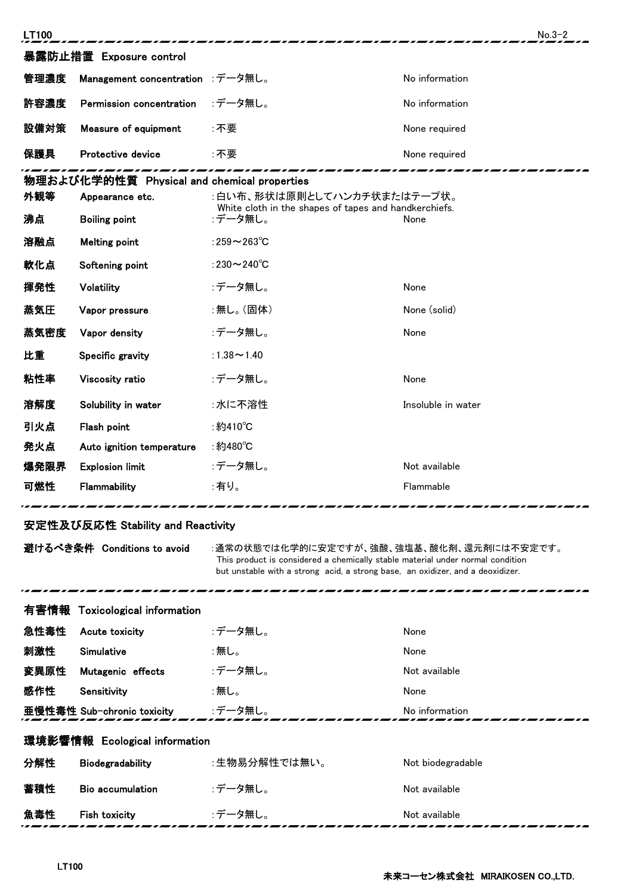| LT100                   |                                             |                                                                                     | $No.3-2$           |  |  |
|-------------------------|---------------------------------------------|-------------------------------------------------------------------------------------|--------------------|--|--|
| 暴露防止措置 Exposure control |                                             |                                                                                     |                    |  |  |
| 管理濃度                    | Management concentration :データ無し。            |                                                                                     | No information     |  |  |
| 許容濃度                    | Permission concentration                    | :データ無し。                                                                             | No information     |  |  |
| 設備対策                    | Measure of equipment                        | :不要                                                                                 | None required      |  |  |
| 保護具                     | Protective device                           | :不要                                                                                 | None required      |  |  |
|                         | 物理および化学的性質 Physical and chemical properties |                                                                                     |                    |  |  |
| 外観等                     | Appearance etc.                             | :白い布、形状は原則としてハンカチ状またはテープ状。<br>White cloth in the shapes of tapes and handkerchiefs. |                    |  |  |
| 沸点                      | <b>Boiling point</b>                        | :データ無し。                                                                             | None               |  |  |
| 溶融点                     | <b>Melting point</b>                        | :259 $\sim$ 263 $\degree$ C                                                         |                    |  |  |
| 軟化点                     | Softening point                             | :230 $\sim$ 240 $\degree$ C                                                         |                    |  |  |
| 揮発性                     | Volatility                                  | :データ無し。                                                                             | None               |  |  |
| 蒸気圧                     | Vapor pressure                              | :無し。(固体)                                                                            | None (solid)       |  |  |
| 蒸気密度                    | Vapor density                               | :データ無し。                                                                             | None               |  |  |
| 比重                      | Specific gravity                            | :1.38 $\sim$ 1.40                                                                   |                    |  |  |
| 粘性率                     | Viscosity ratio                             | :データ無し。                                                                             | None               |  |  |
| 溶解度                     | Solubility in water                         | :水に不溶性                                                                              | Insoluble in water |  |  |
| 引火点                     | Flash point                                 | :約410℃                                                                              |                    |  |  |
| 発火点                     | Auto ignition temperature                   | ∶約480℃                                                                              |                    |  |  |
| 爆発限界                    | <b>Explosion limit</b>                      | :データ無し。                                                                             | Not available      |  |  |
| 可燃性                     | Flammability                                | :有り。                                                                                | Flammable          |  |  |
|                         |                                             |                                                                                     |                    |  |  |

## 安定性及び反応性 Stability and Reactivity

...

避けるべき条件 Conditions to avoid :通常の状態では化学的に安定ですが、強酸、強塩基、酸化剤、還元剤には不安定です。 This product is considered a chemically stable material under normal condition but unstable with a strong acid, a strong base, an oxidizer, and a deoxidizer.

|                               | 有害情報 Toxicological information |              |                   |  |
|-------------------------------|--------------------------------|--------------|-------------------|--|
| 急性毒性                          | Acute toxicity                 | :データ無し。      | None              |  |
| 刺激性                           | Simulative                     | :無し。         | None              |  |
| 変異原性                          | Mutagenic effects              | :データ無し。      | Not available     |  |
| 感作性                           | Sensitivity                    | :無し。         | None              |  |
|                               | 亜慢性毒性 Sub-chronic toxicity     | :データ無し。      | No information    |  |
| 環境影響情報 Ecological information |                                |              |                   |  |
| 分解性                           | Biodegradability               | :生物易分解性では無い。 | Not biodegradable |  |
| 蓄積性                           | <b>Bio accumulation</b>        | :データ無し。      | Not available     |  |
| 魚毒性                           | <b>Fish toxicity</b>           | :データ無し。      | Not available     |  |

-------